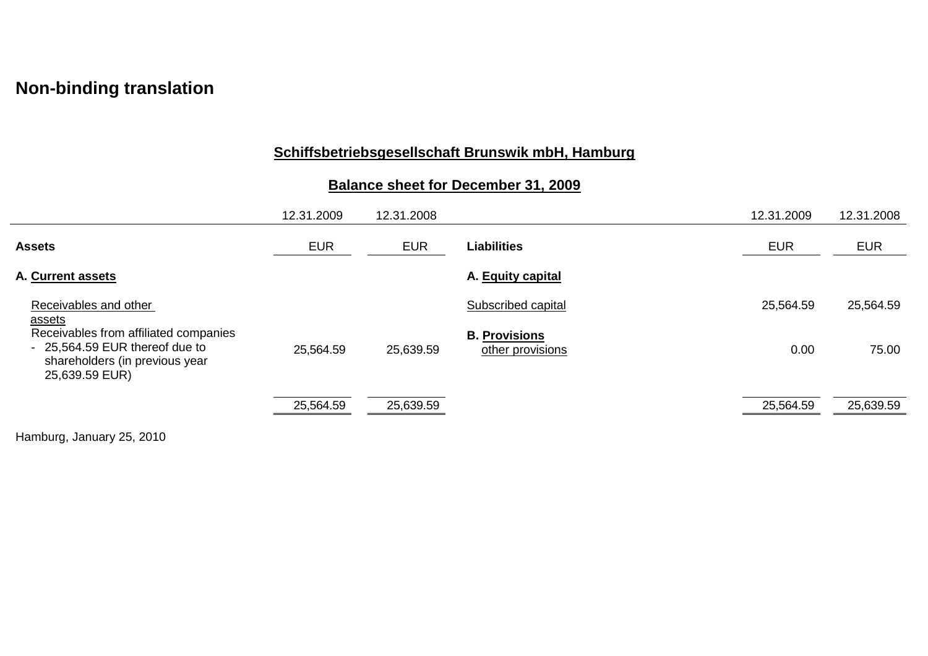# **Non-binding translation**

## **Schiffsbetriebsgesellschaft Brunswik mbH, Hamburg**

## **Balance sheet for December 31, 2009**

|                                                                                                                             | 12.31.2009 | 12.31.2008 |                                          | 12.31.2009 | 12.31.2008 |
|-----------------------------------------------------------------------------------------------------------------------------|------------|------------|------------------------------------------|------------|------------|
| <b>Assets</b>                                                                                                               | <b>EUR</b> | <b>EUR</b> | <b>Liabilities</b>                       | <b>EUR</b> | <b>EUR</b> |
| A. Current assets                                                                                                           |            |            | A. Equity capital                        |            |            |
| Receivables and other<br><u>assets</u>                                                                                      |            |            | Subscribed capital                       | 25,564.59  | 25,564.59  |
| Receivables from affiliated companies<br>- 25,564.59 EUR thereof due to<br>shareholders (in previous year<br>25,639.59 EUR) | 25,564.59  | 25,639.59  | <b>B. Provisions</b><br>other provisions | 0.00       | 75.00      |
|                                                                                                                             | 25,564.59  | 25,639.59  |                                          | 25,564.59  | 25,639.59  |

Hamburg, January 25, 2010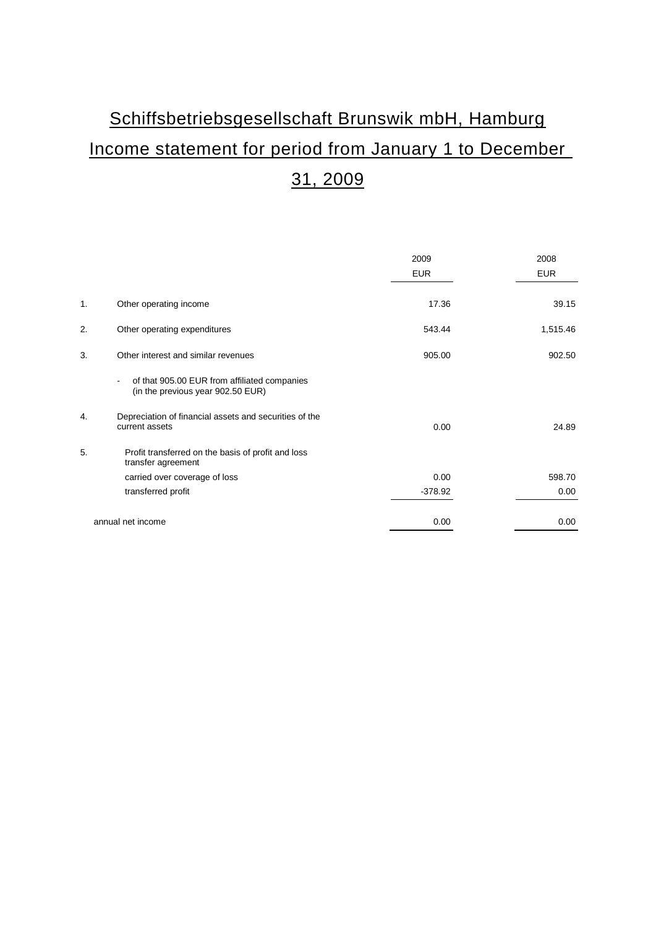# Schiffsbetriebsgesellschaft Brunswik mbH, Hamburg Income statement for period from January 1 to December 31, 2009

|    |                                                                                   | 2009       | 2008       |
|----|-----------------------------------------------------------------------------------|------------|------------|
|    |                                                                                   | <b>EUR</b> | <b>EUR</b> |
| 1. | Other operating income                                                            | 17.36      | 39.15      |
| 2. | Other operating expenditures                                                      | 543.44     | 1,515.46   |
| 3. | Other interest and similar revenues                                               | 905.00     | 902.50     |
|    | of that 905.00 EUR from affiliated companies<br>(in the previous year 902.50 EUR) |            |            |
| 4. | Depreciation of financial assets and securities of the<br>current assets          | 0.00       | 24.89      |
| 5. | Profit transferred on the basis of profit and loss<br>transfer agreement          |            |            |
|    | carried over coverage of loss                                                     | 0.00       | 598.70     |
|    | transferred profit                                                                | $-378.92$  | 0.00       |
|    | annual net income                                                                 | 0.00       | 0.00       |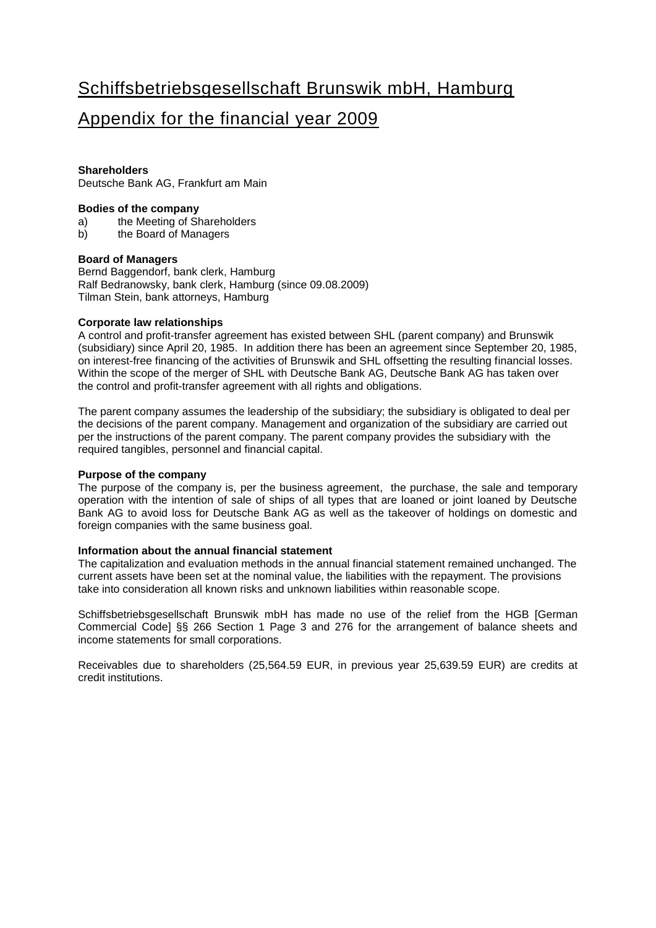# Schiffsbetriebsgesellschaft Brunswik mbH, Hamburg

### Appendix for the financial year 2009

#### **Shareholders**

Deutsche Bank AG, Frankfurt am Main

#### **Bodies of the company**

- a) the Meeting of Shareholders<br>b) the Board of Managers
- the Board of Managers

#### **Board of Managers**

Bernd Baggendorf, bank clerk, Hamburg Ralf Bedranowsky, bank clerk, Hamburg (since 09.08.2009) Tilman Stein, bank attorneys, Hamburg

#### **Corporate law relationships**

A control and profit-transfer agreement has existed between SHL (parent company) and Brunswik (subsidiary) since April 20, 1985. In addition there has been an agreement since September 20, 1985, on interest-free financing of the activities of Brunswik and SHL offsetting the resulting financial losses. Within the scope of the merger of SHL with Deutsche Bank AG, Deutsche Bank AG has taken over the control and profit-transfer agreement with all rights and obligations.

The parent company assumes the leadership of the subsidiary; the subsidiary is obligated to deal per the decisions of the parent company. Management and organization of the subsidiary are carried out per the instructions of the parent company. The parent company provides the subsidiary with the required tangibles, personnel and financial capital.

#### **Purpose of the company**

The purpose of the company is, per the business agreement, the purchase, the sale and temporary operation with the intention of sale of ships of all types that are loaned or joint loaned by Deutsche Bank AG to avoid loss for Deutsche Bank AG as well as the takeover of holdings on domestic and foreign companies with the same business goal.

#### **Information about the annual financial statement**

The capitalization and evaluation methods in the annual financial statement remained unchanged. The current assets have been set at the nominal value, the liabilities with the repayment. The provisions take into consideration all known risks and unknown liabilities within reasonable scope.

Schiffsbetriebsgesellschaft Brunswik mbH has made no use of the relief from the HGB [German Commercial Code] §§ 266 Section 1 Page 3 and 276 for the arrangement of balance sheets and income statements for small corporations.

Receivables due to shareholders (25,564.59 EUR, in previous year 25,639.59 EUR) are credits at credit institutions.